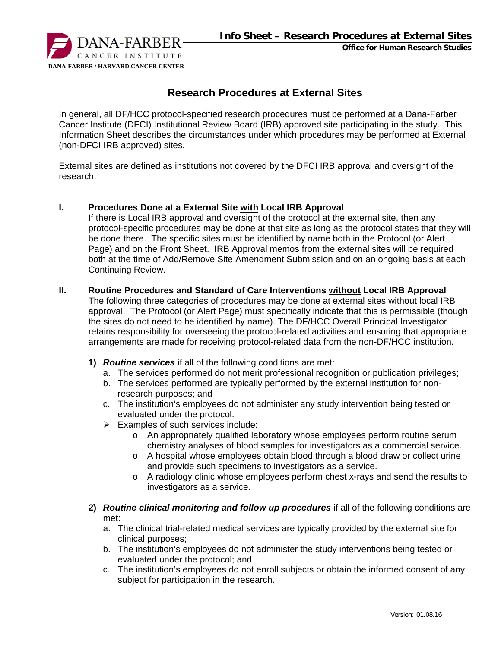

#### **Office for Human Research Studies**

# **Research Procedures at External Sites**

In general, all DF/HCC protocol-specified research procedures must be performed at a Dana-Farber Cancer Institute (DFCI) Institutional Review Board (IRB) approved site participating in the study. This Information Sheet describes the circumstances under which procedures may be performed at External (non-DFCI IRB approved) sites.

External sites are defined as institutions not covered by the DFCI IRB approval and oversight of the research.

#### **I. Procedures Done at a External Site with Local IRB Approval**

If there is Local IRB approval and oversight of the protocol at the external site, then any protocol-specific procedures may be done at that site as long as the protocol states that they will be done there. The specific sites must be identified by name both in the Protocol (or Alert Page) and on the Front Sheet. IRB Approval memos from the external sites will be required both at the time of Add/Remove Site Amendment Submission and on an ongoing basis at each Continuing Review.

#### **II. Routine Procedures and Standard of Care Interventions without Local IRB Approval**

The following three categories of procedures may be done at external sites without local IRB approval. The Protocol (or Alert Page) must specifically indicate that this is permissible (though the sites do not need to be identified by name). The DF/HCC Overall Principal Investigator retains responsibility for overseeing the protocol-related activities and ensuring that appropriate arrangements are made for receiving protocol-related data from the non-DF/HCC institution.

- **1)** *Routine services* if all of the following conditions are met:
	- a. The services performed do not merit professional recognition or publication privileges;
	- b. The services performed are typically performed by the external institution for nonresearch purposes; and
	- c. The institution's employees do not administer any study intervention being tested or evaluated under the protocol.
	- $\triangleright$  Examples of such services include:
		- o An appropriately qualified laboratory whose employees perform routine serum chemistry analyses of blood samples for investigators as a commercial service.
		- o A hospital whose employees obtain blood through a blood draw or collect urine and provide such specimens to investigators as a service.
		- o A radiology clinic whose employees perform chest x-rays and send the results to investigators as a service.
- **2)** *Routine clinical monitoring and follow up procedures* if all of the following conditions are met:
	- a. The clinical trial-related medical services are typically provided by the external site for clinical purposes;
	- b. The institution's employees do not administer the study interventions being tested or evaluated under the protocol; and
	- c. The institution's employees do not enroll subjects or obtain the informed consent of any subject for participation in the research.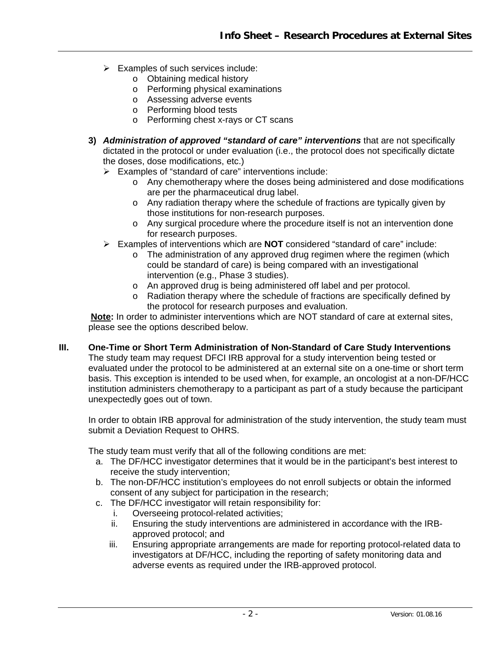- $\triangleright$  Examples of such services include:
	- o Obtaining medical history
	- o Performing physical examinations
	- o Assessing adverse events
	- o Performing blood tests
	- o Performing chest x-rays or CT scans
- **3)** *Administration of approved "standard of care" interventions* that are not specifically dictated in the protocol or under evaluation (i.e., the protocol does not specifically dictate the doses, dose modifications, etc.)
	- Examples of "standard of care" interventions include:
		- o Any chemotherapy where the doses being administered and dose modifications are per the pharmaceutical drug label.
		- o Any radiation therapy where the schedule of fractions are typically given by those institutions for non-research purposes.
		- o Any surgical procedure where the procedure itself is not an intervention done for research purposes.
	- Examples of interventions which are **NOT** considered "standard of care" include:
		- $\circ$  The administration of any approved drug regimen where the regimen (which could be standard of care) is being compared with an investigational intervention (e.g., Phase 3 studies).
		- o An approved drug is being administered off label and per protocol.
		- o Radiation therapy where the schedule of fractions are specifically defined by the protocol for research purposes and evaluation.

**Note:** In order to administer interventions which are NOT standard of care at external sites, please see the options described below.

### **III. One-Time or Short Term Administration of Non-Standard of Care Study Interventions**

The study team may request DFCI IRB approval for a study intervention being tested or evaluated under the protocol to be administered at an external site on a one-time or short term basis. This exception is intended to be used when, for example, an oncologist at a non-DF/HCC institution administers chemotherapy to a participant as part of a study because the participant unexpectedly goes out of town.

In order to obtain IRB approval for administration of the study intervention, the study team must submit a Deviation Request to OHRS.

The study team must verify that all of the following conditions are met:

- a. The DF/HCC investigator determines that it would be in the participant's best interest to receive the study intervention;
- b. The non-DF/HCC institution's employees do not enroll subjects or obtain the informed consent of any subject for participation in the research;
- c. The DF/HCC investigator will retain responsibility for:
	- i. Overseeing protocol-related activities;
	- ii. Ensuring the study interventions are administered in accordance with the IRBapproved protocol; and
	- iii. Ensuring appropriate arrangements are made for reporting protocol-related data to investigators at DF/HCC, including the reporting of safety monitoring data and adverse events as required under the IRB-approved protocol.